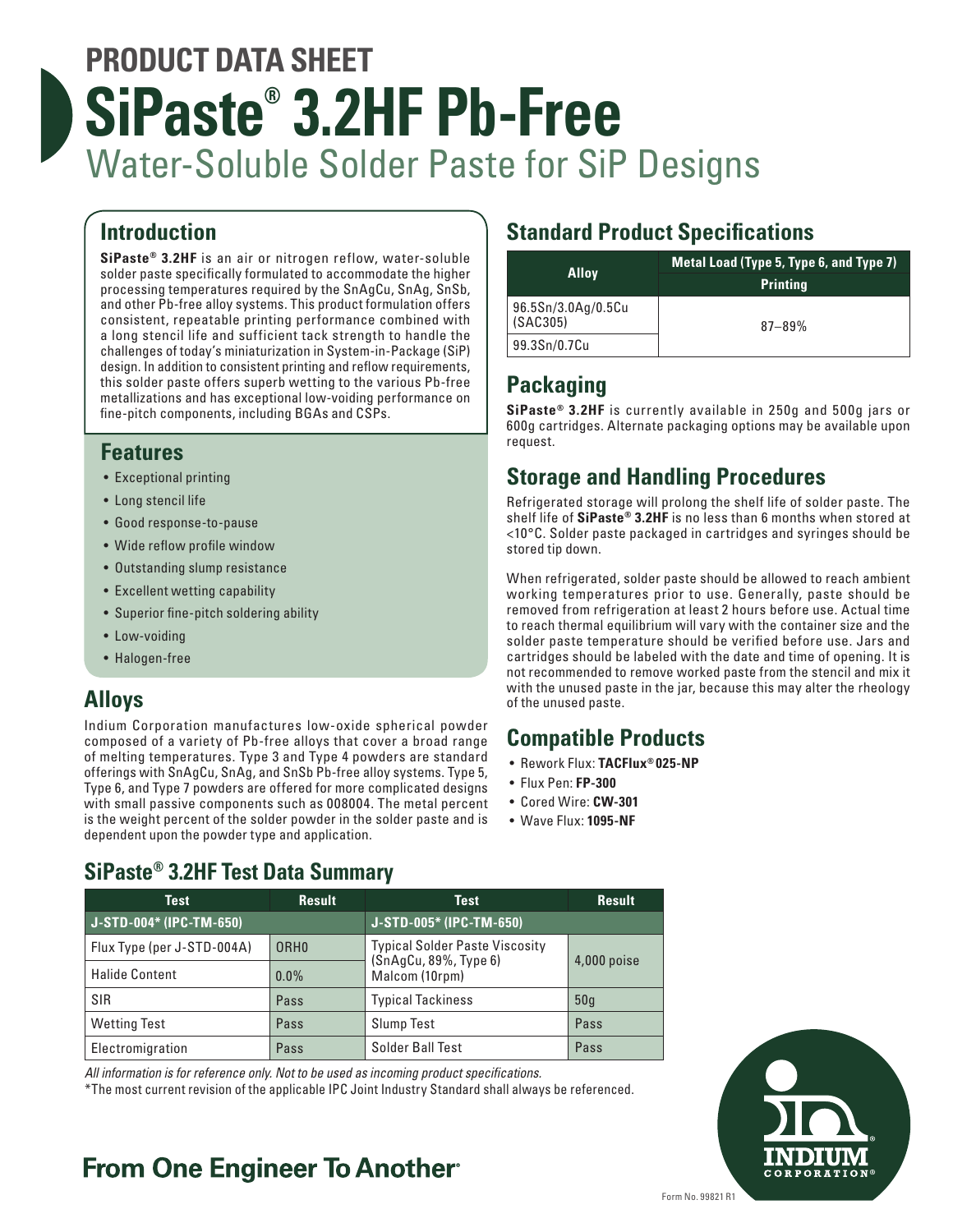# **PRODUCT DATA SHEET SiPaste® 3.2HF Pb-Free** Water-Soluble Solder Paste for SiP Designs

# **Introduction**

**SiPaste® 3.2HF** is an air or nitrogen reflow, water-soluble solder paste specifically formulated to accommodate the higher processing temperatures required by the SnAgCu, SnAg, SnSb, and other Pb-free alloy systems. This product formulation offers consistent, repeatable printing performance combined with a long stencil life and sufficient tack strength to handle the challenges of today's miniaturization in System-in-Package (SiP) design. In addition to consistent printing and reflow requirements, this solder paste offers superb wetting to the various Pb-free metallizations and has exceptional low-voiding performance on fine-pitch components, including BGAs and CSPs.

### **Features**

- Exceptional printing
- Long stencil life
- Good response-to-pause
- Wide reflow profile window
- Outstanding slump resistance
- Excellent wetting capability
- Superior fine-pitch soldering ability
- Low-voiding
- Halogen-free

# **Alloys**

Indium Corporation manufactures low-oxide spherical powder composed of a variety of Pb-free alloys that cover a broad range of melting temperatures. Type 3 and Type 4 powders are standard offerings with SnAgCu, SnAg, and SnSb Pb-free alloy systems. Type 5, Type 6, and Type 7 powders are offered for more complicated designs with small passive components such as 008004. The metal percent is the weight percent of the solder powder in the solder paste and is dependent upon the powder type and application.

# **Standard Product Specifications**

| <b>Alloy</b>                   | Metal Load (Type 5, Type 6, and Type 7) |
|--------------------------------|-----------------------------------------|
|                                | <b>Printing</b>                         |
| 96.5Sn/3.0Ag/0.5Cu<br>(SAC305) | $87 - 89%$                              |
| 99.3Sn/0.7Cu                   |                                         |

# **Packaging**

**SiPaste® 3.2HF** is currently available in 250g and 500g jars or 600g cartridges. Alternate packaging options may be available upon request.

# **Storage and Handling Procedures**

Refrigerated storage will prolong the shelf life of solder paste. The shelf life of **SiPaste® 3.2HF** is no less than 6 months when stored at <10°C. Solder paste packaged in cartridges and syringes should be stored tip down.

When refrigerated, solder paste should be allowed to reach ambient working temperatures prior to use. Generally, paste should be removed from refrigeration at least 2 hours before use. Actual time to reach thermal equilibrium will vary with the container size and the solder paste temperature should be verified before use. Jars and cartridges should be labeled with the date and time of opening. It is not recommended to remove worked paste from the stencil and mix it with the unused paste in the jar, because this may alter the rheology of the unused paste.

## **Compatible Products**

- Rework Flux: **TACFlux® 025-NP**
- Flux Pen: **FP-300**
- Cored Wire: **CW-301**
- Wave Flux: **1095-NF**

# **SiPaste® 3.2HF Test Data Summary**

| <b>Test</b>                | <b>Result</b> | Test                                                                                            | <b>Result</b> |
|----------------------------|---------------|-------------------------------------------------------------------------------------------------|---------------|
| J-STD-004* (IPC-TM-650)    |               | J-STD-005* (IPC-TM-650)                                                                         |               |
| Flux Type (per J-STD-004A) | <b>ORHO</b>   | <b>Typical Solder Paste Viscosity</b><br>(SnAgCu, 89%, Type 6)<br>4,000 poise<br>Malcom (10rpm) |               |
| <b>Halide Content</b>      | $0.0\%$       |                                                                                                 |               |
| <b>SIR</b>                 | Pass          | <b>Typical Tackiness</b>                                                                        | 50q           |
| <b>Wetting Test</b>        | Pass          | <b>Slump Test</b>                                                                               | Pass          |
| Electromigration           | Pass          | Solder Ball Test                                                                                | Pass          |

*All information is for reference only. Not to be used as incoming product specifications.*

\*The most current revision of the applicable IPC Joint Industry Standard shall always be referenced.

# **From One Engineer To Another**